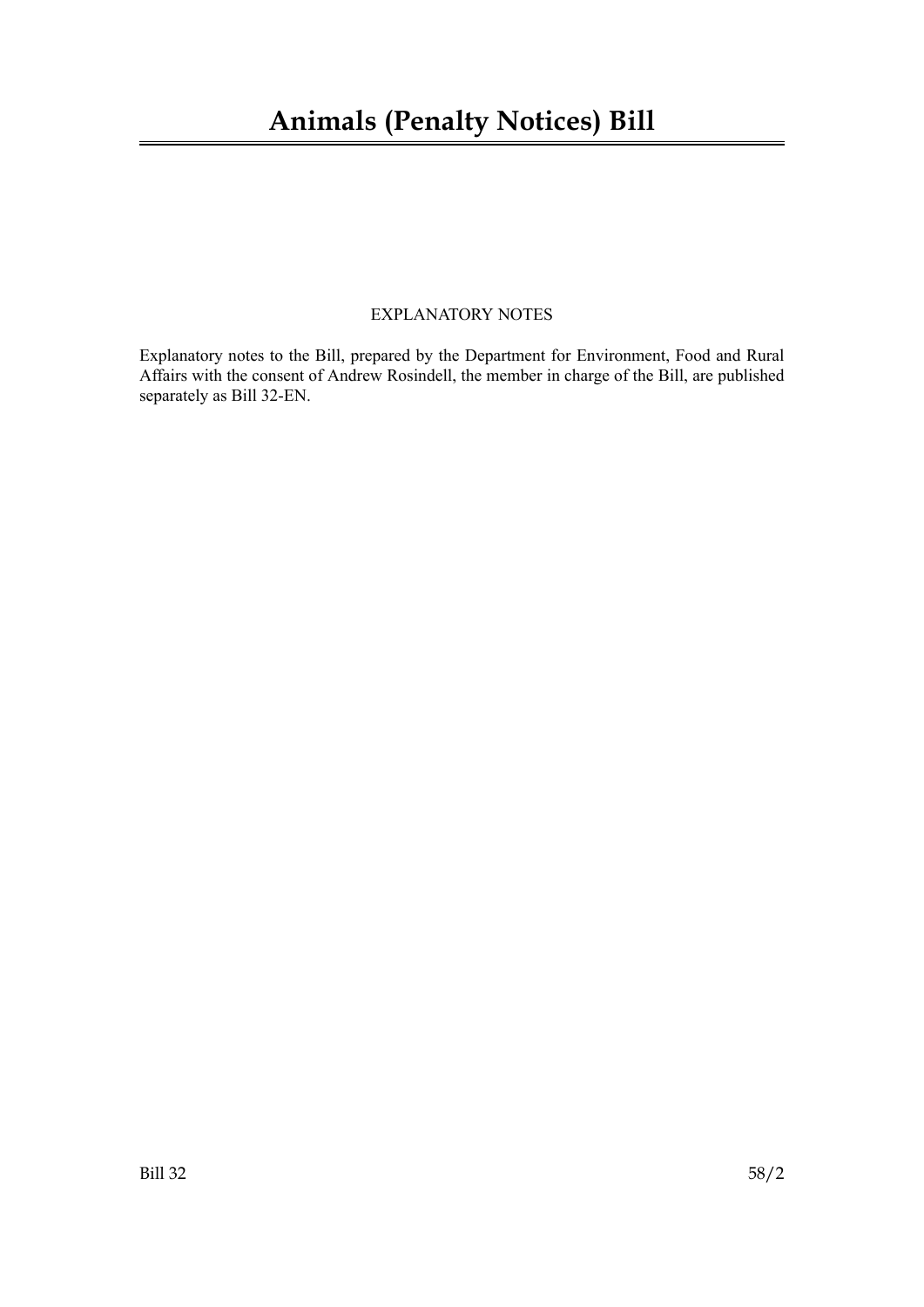# **Animals (Penalty Notices) Bill**

## EXPLANATORY NOTES

Explanatory notes to the Bill, prepared by the Department for Environment, Food and Rural Affairs with the consent of Andrew Rosindell, the member in charge of the Bill, are published separately as Bill 32-EN.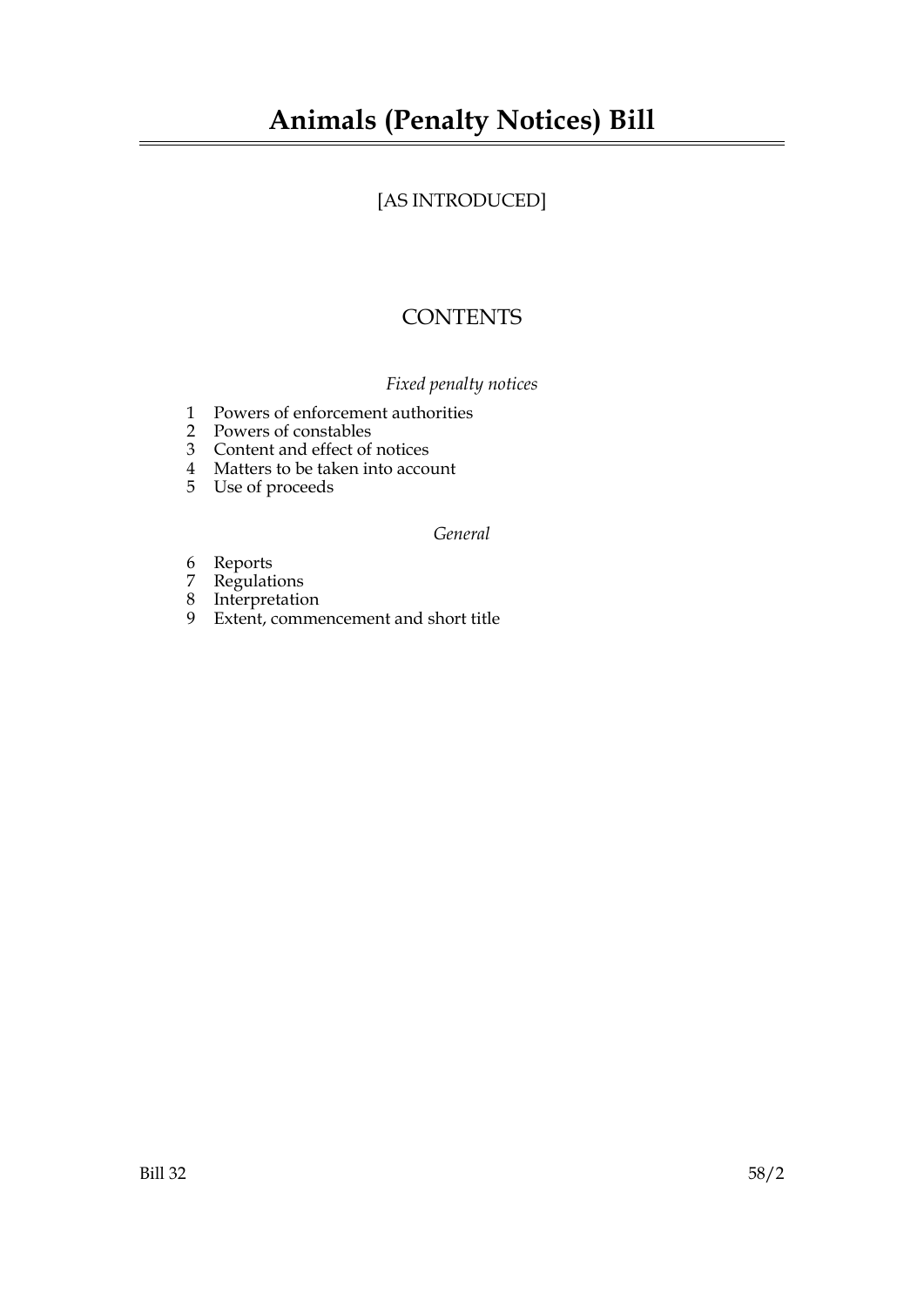# [AS INTRODUCED]

# **CONTENTS**

# *Fixed penalty notices*

- 1 Powers of enforcement authorities
- 2 Powers of constables
- 3 Content and effect of notices
- 4 Matters to be taken into account
- 5 Use of proceeds

## *General*

- 6 Reports
- 7 Regulations
- 8 Interpretation
- 9 Extent, commencement and short title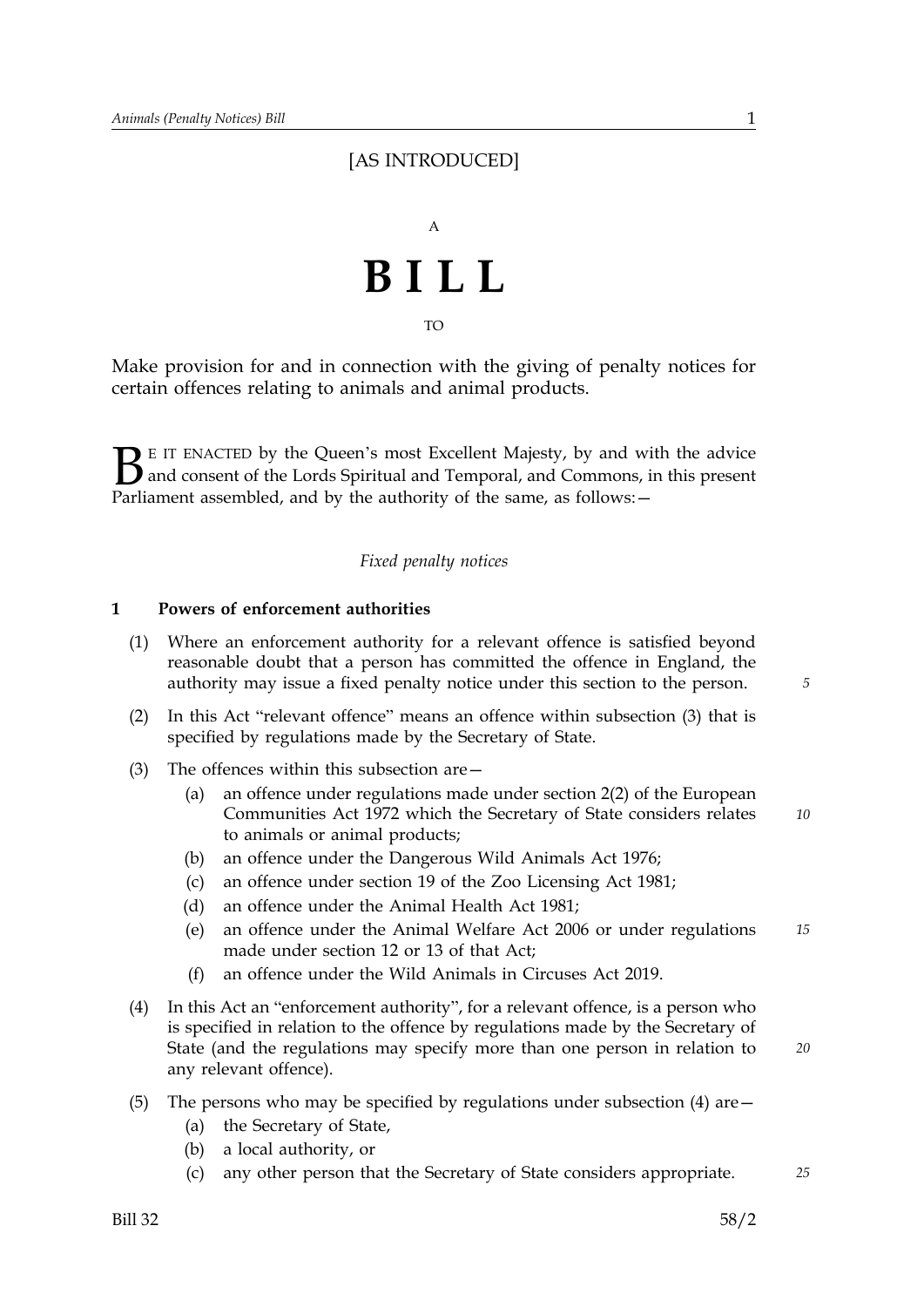# [AS INTRODUCED]



TO

Make provision for and in connection with the giving of penalty notices for certain offences relating to animals and animal products.

 $\mathbf{B}_{\text{\tiny{parl}}}$ E IT ENACTED by the Queen's most Excellent Majesty, by and with the advice and consent of the Lords Spiritual and Temporal, and Commons, in this present Parliament assembled, and by the authority of the same, as follows: -

#### *Fixed penalty notices*

#### **1 Powers of enforcement authorities**

- (1) Where an enforcement authority for a relevant offence is satisfied beyond reasonable doubt that a person has committed the offence in England, the authority may issue a fixed penalty notice under this section to the person.
- (2) In this Act "relevant offence" means an offence within subsection (3) that is specified by regulations made by the Secretary of State.
- (3) The offences within this subsection are—
	- (a) *10* an offence under regulations made under section 2(2) of the European Communities Act 1972 which the Secretary of State considers relates to animals or animal products;
	- (b) an offence under the Dangerous Wild Animals Act 1976;
	- (c) an offence under section 19 of the Zoo Licensing Act 1981;
	- (d) an offence under the Animal Health Act 1981;
	- (e) an offence under the Animal Welfare Act 2006 or under regulations *15* made under section 12 or 13 of that Act;
	- (f) an offence under the Wild Animals in Circuses Act 2019.
- (4) In this Act an "enforcement authority", for a relevant offence, is a person who is specified in relation to the offence by regulations made by the Secretary of State (and the regulations may specify more than one person in relation to any relevant offence).
- (5) The persons who may be specified by regulations under subsection (4) are—
	- (a) the Secretary of State,
	- (b) a local authority, or
	- (c) any other person that the Secretary of State considers appropriate. *25*

*20*

*5*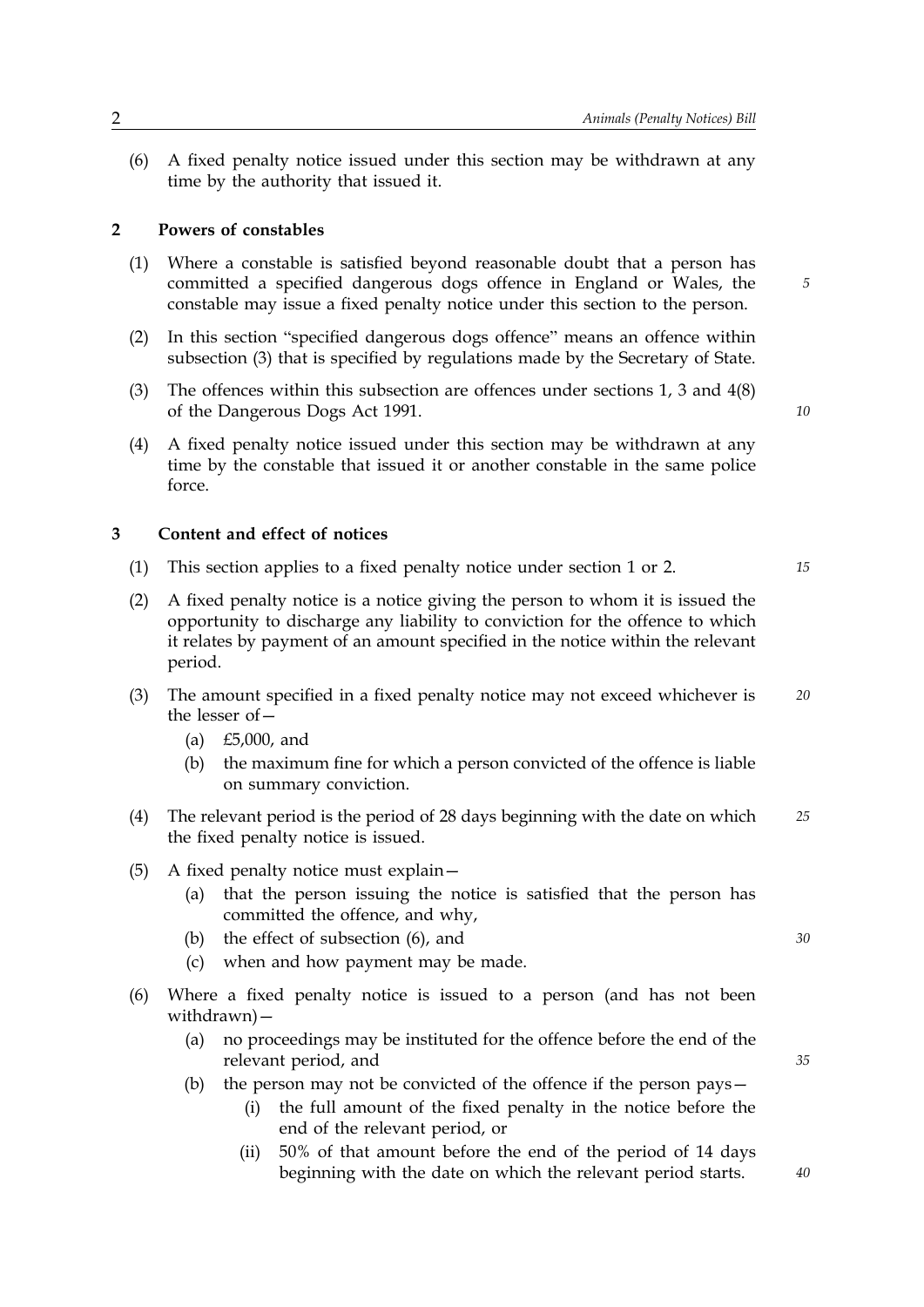(6) A fixed penalty notice issued under this section may be withdrawn at any time by the authority that issued it.

#### **2 Powers of constables**

- (1) Where a constable is satisfied beyond reasonable doubt that a person has committed a specified dangerous dogs offence in England or Wales, the constable may issue a fixed penalty notice under this section to the person.
- (2) In this section "specified dangerous dogs offence" means an offence within subsection (3) that is specified by regulations made by the Secretary of State.
- (3) The offences within this subsection are offences under sections 1, 3 and 4(8) of the Dangerous Dogs Act 1991.
- (4) A fixed penalty notice issued under this section may be withdrawn at any time by the constable that issued it or another constable in the same police force.

#### **3 Content and effect of notices**

- (1) This section applies to a fixed penalty notice under section 1 or 2. *15*
- (2) A fixed penalty notice is a notice giving the person to whom it is issued the opportunity to discharge any liability to conviction for the offence to which it relates by payment of an amount specified in the notice within the relevant period.
- (3) The amount specified in a fixed penalty notice may not exceed whichever is *20* the lesser of—
	- (a) £5,000, and
	- (b) the maximum fine for which a person convicted of the offence is liable on summary conviction.
- (4) The relevant period is the period of 28 days beginning with the date on which *25* the fixed penalty notice is issued.
- (5) A fixed penalty notice must explain—
	- (a) that the person issuing the notice is satisfied that the person has committed the offence, and why,
	- (b) the effect of subsection (6), and *30*
	- (c) when and how payment may be made.
- (6) Where a fixed penalty notice is issued to a person (and has not been withdrawn)—
	- (a) no proceedings may be instituted for the offence before the end of the relevant period, and
	- (b) the person may not be convicted of the offence if the person pays—
		- (i) the full amount of the fixed penalty in the notice before the end of the relevant period, or
		- (ii) 50% of that amount before the end of the period of 14 days beginning with the date on which the relevant period starts.

*10*

*5*

*40*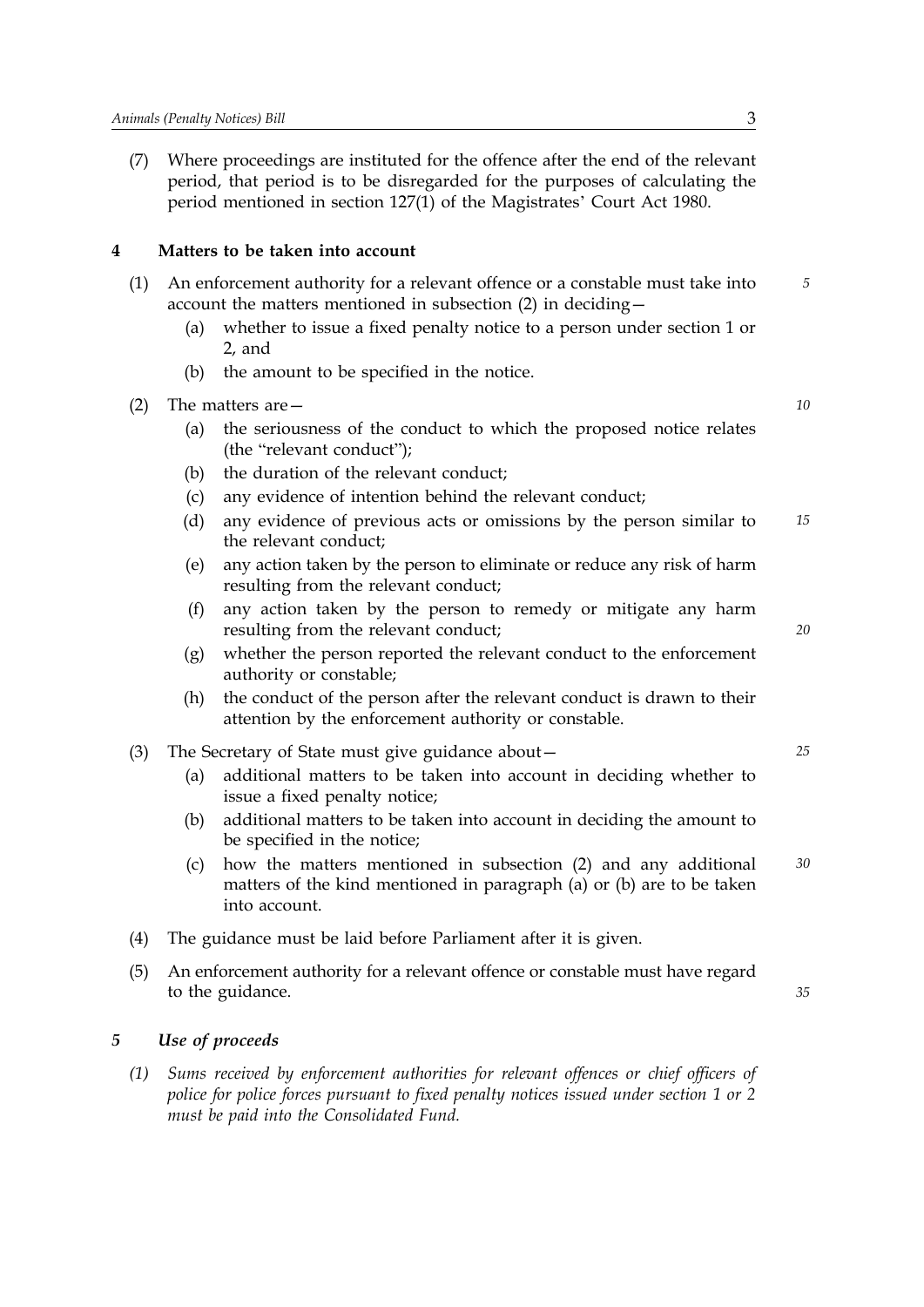(7) Where proceedings are instituted for the offence after the end of the relevant period, that period is to be disregarded for the purposes of calculating the period mentioned in section 127(1) of the Magistrates' Court Act 1980.

## **4 Matters to be taken into account**

- (1) An enforcement authority for a relevant offence or a constable must take into *5* account the matters mentioned in subsection (2) in deciding—
	- (a) whether to issue a fixed penalty notice to a person under section 1 or 2, and
	- (b) the amount to be specified in the notice.
- (2) The matters are— *10*
	- (a) the seriousness of the conduct to which the proposed notice relates (the "relevant conduct");
	- (b) the duration of the relevant conduct;
	- (c) any evidence of intention behind the relevant conduct;
	- (d) any evidence of previous acts or omissions by the person similar to *15* the relevant conduct;
	- (e) any action taken by the person to eliminate or reduce any risk of harm resulting from the relevant conduct;
	- $(f)$ any action taken by the person to remedy or mitigate any harm resulting from the relevant conduct;
	- (g) whether the person reported the relevant conduct to the enforcement authority or constable;
	- (h) the conduct of the person after the relevant conduct is drawn to their attention by the enforcement authority or constable.
- (3) The Secretary of State must give guidance about— *25*
	- (a) additional matters to be taken into account in deciding whether to issue a fixed penalty notice;
	- (b) additional matters to be taken into account in deciding the amount to be specified in the notice;
	- (c) how the matters mentioned in subsection (2) and any additional *30* matters of the kind mentioned in paragraph (a) or (b) are to be taken into account.
- (4) The guidance must be laid before Parliament after it is given.
- (5) An enforcement authority for a relevant offence or constable must have regard to the guidance.

#### *35*

*20*

#### *5 Use of proceeds*

*(1) Sums received by enforcement authorities for relevant offences or chief officers of police for police forces pursuant to fixed penalty notices issued under section 1 or 2 must be paid into the Consolidated Fund.*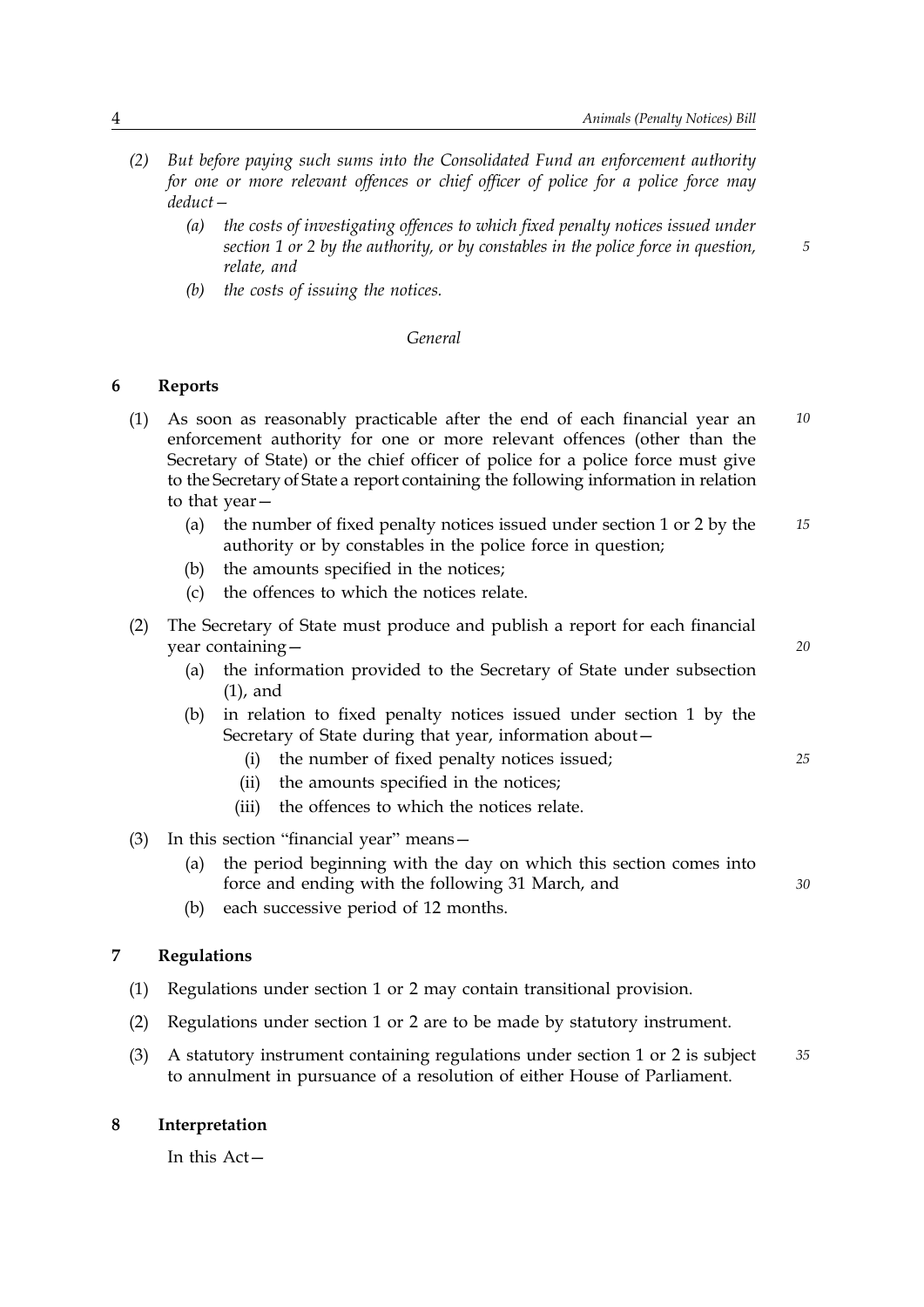*5*

*20*

*30*

- *(2) But before paying such sums into the Consolidated Fund an enforcement authority for one or more relevant offences or chief officer of police for a police force may deduct—* 
	- *(a) the costs of investigating offences to which fixed penalty notices issued under section 1 or 2 by the authority, or by constables in the police force in question, relate, and*
	- *(b) the costs of issuing the notices.*

#### *General*

## **6 Reports**

- (1) As soon as reasonably practicable after the end of each financial year an *10* enforcement authority for one or more relevant offences (other than the Secretary of State) or the chief officer of police for a police force must give to the Secretary of State a report containing the following information in relation to that year—
	- (a) the number of fixed penalty notices issued under section 1 or 2 by the *15* authority or by constables in the police force in question;
	- (b) the amounts specified in the notices;
	- (c) the offences to which the notices relate.
- (2) The Secretary of State must produce and publish a report for each financial year containing—
	- (a) the information provided to the Secretary of State under subsection (1), and
	- (b) in relation to fixed penalty notices issued under section 1 by the Secretary of State during that year, information about—
		- (i) the number of fixed penalty notices issued; *25*
			- (ii) the amounts specified in the notices;
		- (iii) the offences to which the notices relate.
- (3) In this section "financial year" means—
	- (a) the period beginning with the day on which this section comes into force and ending with the following 31 March, and
	- (b) each successive period of 12 months.

#### **7 Regulations**

- (1) Regulations under section 1 or 2 may contain transitional provision.
- (2) Regulations under section 1 or 2 are to be made by statutory instrument.
- (3) A statutory instrument containing regulations under section 1 or 2 is subject *35* to annulment in pursuance of a resolution of either House of Parliament.

#### **8 Interpretation**

In this Act—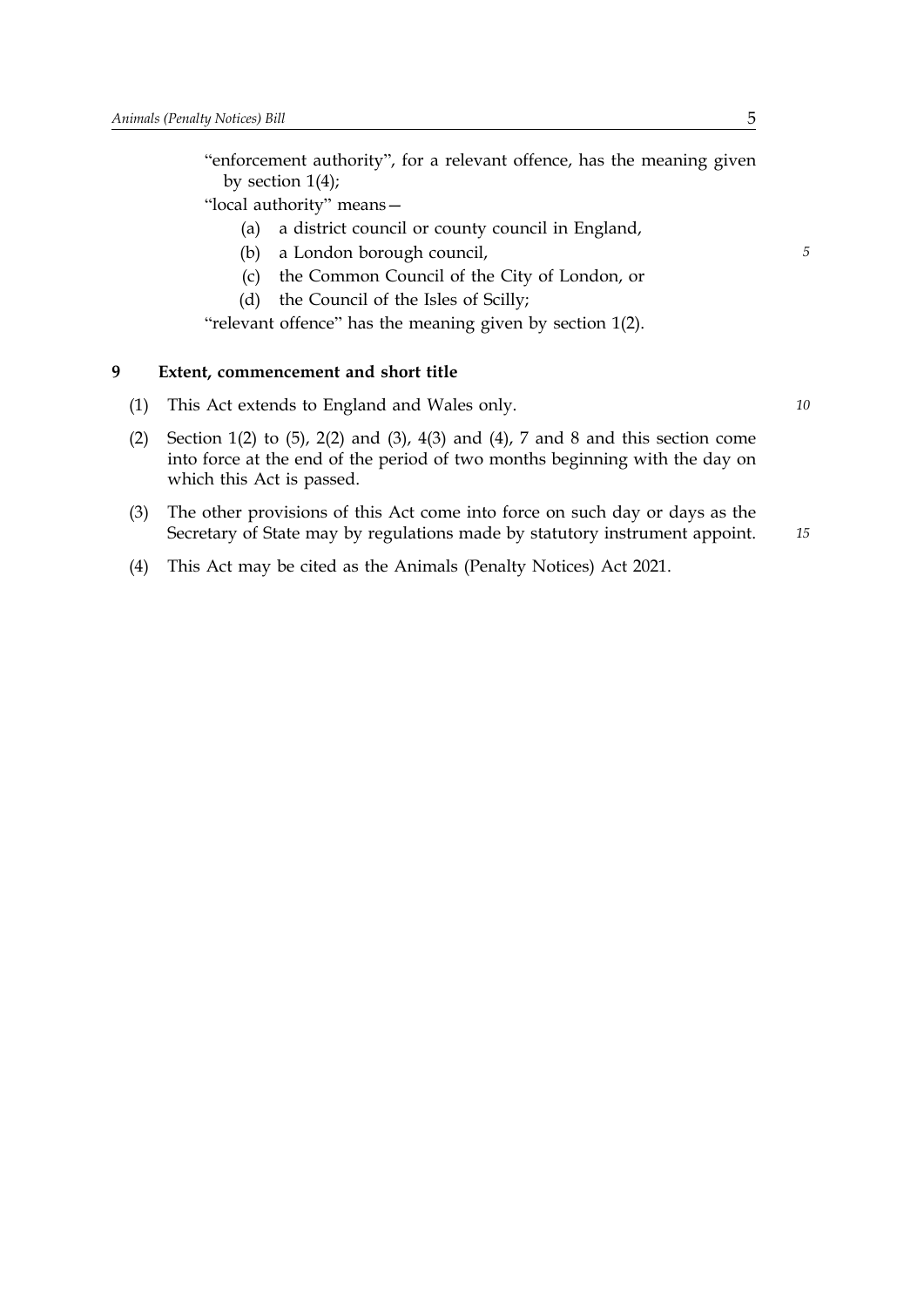"enforcement authority", for a relevant offence, has the meaning given by section 1(4);

"local authority" means—

- (a) a district council or county council in England,
- (b) a London borough council, *5*
- (c) the Common Council of the City of London, or
- (d) the Council of the Isles of Scilly;

"relevant offence" has the meaning given by section 1(2).

#### **9 Extent, commencement and short title**

- (1) This Act extends to England and Wales only. *10*
- (2) Section 1(2) to (5), 2(2) and (3), 4(3) and (4), 7 and 8 and this section come into force at the end of the period of two months beginning with the day on which this Act is passed.
- (3) The other provisions of this Act come into force on such day or days as the *15* Secretary of State may by regulations made by statutory instrument appoint.
- (4) This Act may be cited as the Animals (Penalty Notices) Act 2021.